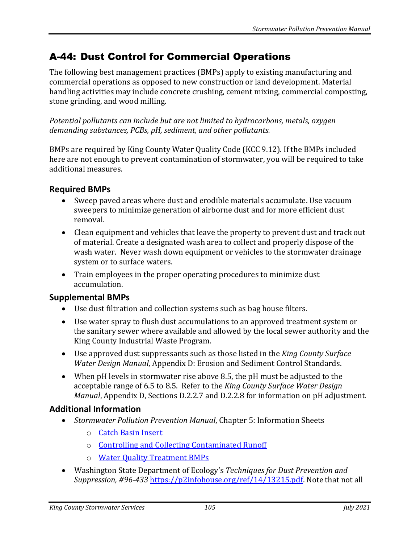## A-44: Dust Control for Commercial Operations

The following best management practices (BMPs) apply to existing manufacturing and commercial operations as opposed to new construction or land development. Material handling activities may include concrete crushing, cement mixing, commercial composting, stone grinding, and wood milling.

*Potential pollutants can include but are not limited to hydrocarbons, metals, oxygen demanding substances, PCBs, pH, sediment, and other pollutants.*

BMPs are required by King County Water Quality Code (KCC 9.12). If the BMPs included here are not enough to prevent contamination of stormwater, you will be required to take additional measures.

## **Required BMPs**

- Sweep paved areas where dust and erodible materials accumulate. Use vacuum sweepers to minimize generation of airborne dust and for more efficient dust removal.
- Clean equipment and vehicles that leave the property to prevent dust and track out of material. Create a designated wash area to collect and properly dispose of the wash water. Never wash down equipment or vehicles to the stormwater drainage system or to surface waters.
- Train employees in the proper operating procedures to minimize dust accumulation.

## **Supplemental BMPs**

- Use dust filtration and collection systems such as bag house filters.
- Use water spray to flush dust accumulations to an approved treatment system or the sanitary sewer where available and allowed by the local sewer authority and the King County Industrial Waste Program.
- Use approved dust suppressants such as those listed in the *King County Surface Water Design Manual*, Appendix D: Erosion and Sediment Control Standards.
- When pH levels in stormwater rise above 8.5, the pH must be adjusted to the acceptable range of 6.5 to 8.5. Refer to the *King County Surface Water Design Manual*, Appendix D, Sections D.2.2.7 and D.2.2.8 for information on pH adjustment.

## **Additional Information**

- *Stormwater Pollution Prevention Manual*, Chapter 5: Information Sheets
	- o [Catch Basin Insert](https://your.kingcounty.gov/dnrp/library/water-and-land/stormwater/stormwater-pollution-prevention-manual/catch-basin-inserts-jul21.pdf)
	- o [Controlling and Collecting Contaminated Runoff](https://your.kingcounty.gov/dnrp/library/water-and-land/stormwater/stormwater-pollution-prevention-manual/controlling-and-collecting-contaminated-runoff-jul21.pdf)
	- o [Water Quality Treatment BMPs](https://your.kingcounty.gov/dnrp/library/water-and-land/stormwater/stormwater-pollution-prevention-manual/water-quality-treatment-bmps-jul21.pdf)
- Washington State Department of Ecology's *Techniques for Dust Prevention and Suppression, #96-433* [https://p2infohouse.org/ref/14/13215.pdf.](https://p2infohouse.org/ref/14/13215.pdf) Note that not all